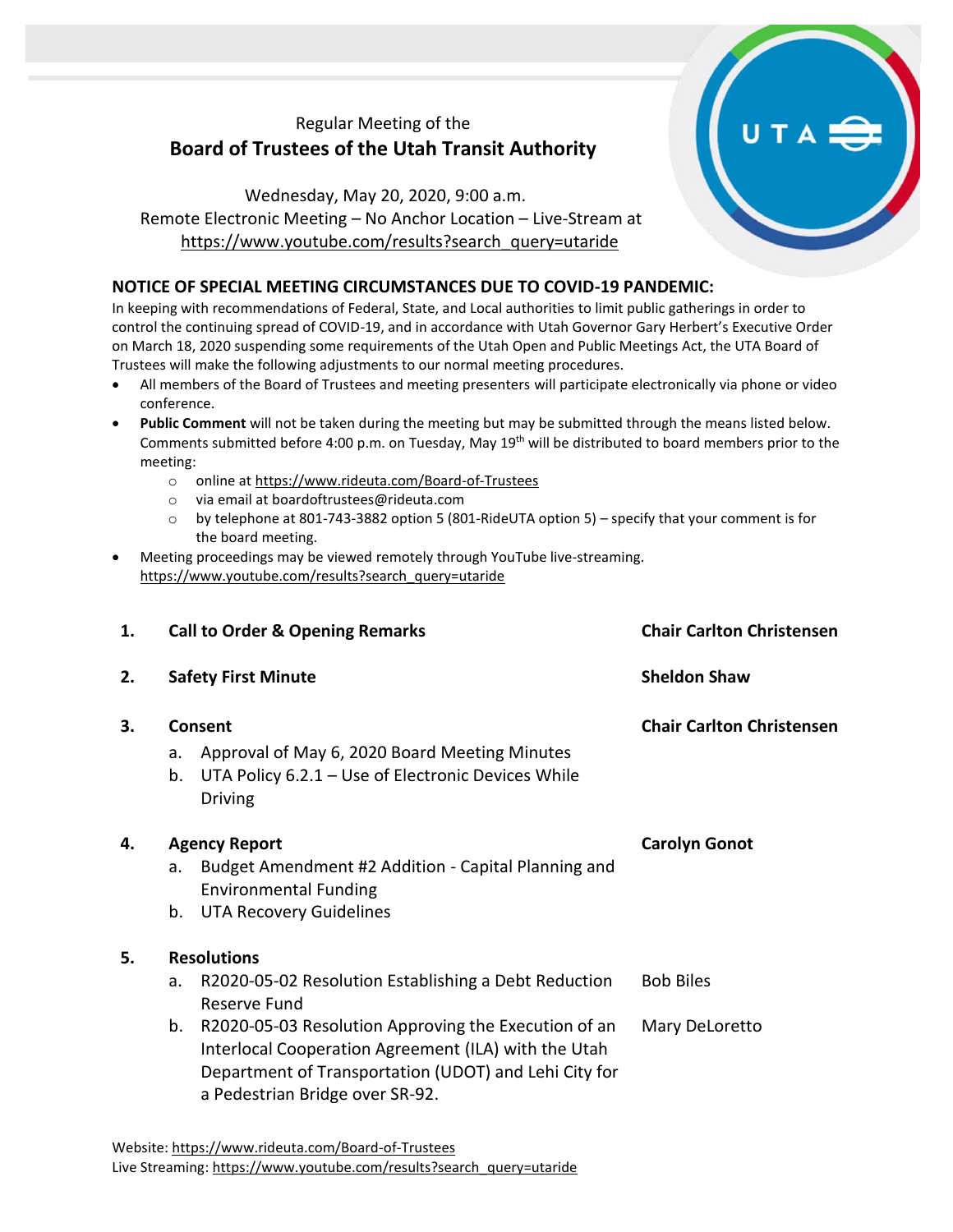## Regular Meeting of the **Board of Trustees of the Utah Transit Authority**

Wednesday, May 20, 2020, 9:00 a.m. Remote Electronic Meeting – No Anchor Location – Live-Stream at [https://www.youtube.com/results?search\\_query=utaride](https://www.youtube.com/results?search_query=utaride)

## **NOTICE OF SPECIAL MEETING CIRCUMSTANCES DUE TO COVID-19 PANDEMIC:**

In keeping with recommendations of Federal, State, and Local authorities to limit public gatherings in order to control the continuing spread of COVID-19, and in accordance with Utah Governor Gary Herbert's Executive Order on March 18, 2020 suspending some requirements of the Utah Open and Public Meetings Act, the UTA Board of Trustees will make the following adjustments to our normal meeting procedures.

- All members of the Board of Trustees and meeting presenters will participate electronically via phone or video conference.
- **Public Comment** will not be taken during the meeting but may be submitted through the means listed below. Comments submitted before 4:00 p.m. on Tuesday, May 19th will be distributed to board members prior to the meeting:
	- o online at<https://www.rideuta.com/Board-of-Trustees>
	- o via email at [boardoftrustees@rideuta.com](mailto:boardoftrustees@rideuta.com)
	- o by telephone at 801-743-3882 option 5 (801-RideUTA option 5) specify that your comment is for the board meeting.
- Meeting proceedings may be viewed remotely through YouTube live-streaming. [https://www.youtube.com/results?search\\_query=utaride](https://www.youtube.com/results?search_query=utaride)

| 1. |                            | <b>Call to Order &amp; Opening Remarks</b>                                                                                                                                                                                                                                                             | <b>Chair Carlton Christensen</b>   |
|----|----------------------------|--------------------------------------------------------------------------------------------------------------------------------------------------------------------------------------------------------------------------------------------------------------------------------------------------------|------------------------------------|
| 2. | <b>Safety First Minute</b> |                                                                                                                                                                                                                                                                                                        | <b>Sheldon Shaw</b>                |
| 3. | a.<br>b.                   | Consent<br>Approval of May 6, 2020 Board Meeting Minutes<br>UTA Policy 6.2.1 - Use of Electronic Devices While<br><b>Driving</b>                                                                                                                                                                       | <b>Chair Carlton Christensen</b>   |
| 4. | a.<br>b.                   | <b>Agency Report</b><br>Budget Amendment #2 Addition - Capital Planning and<br><b>Environmental Funding</b><br><b>UTA Recovery Guidelines</b>                                                                                                                                                          | <b>Carolyn Gonot</b>               |
| 5. | a.<br>b.                   | <b>Resolutions</b><br>R2020-05-02 Resolution Establishing a Debt Reduction<br>Reserve Fund<br>R2020-05-03 Resolution Approving the Execution of an<br>Interlocal Cooperation Agreement (ILA) with the Utah<br>Department of Transportation (UDOT) and Lehi City for<br>a Pedestrian Bridge over SR-92. | <b>Bob Biles</b><br>Mary DeLoretto |